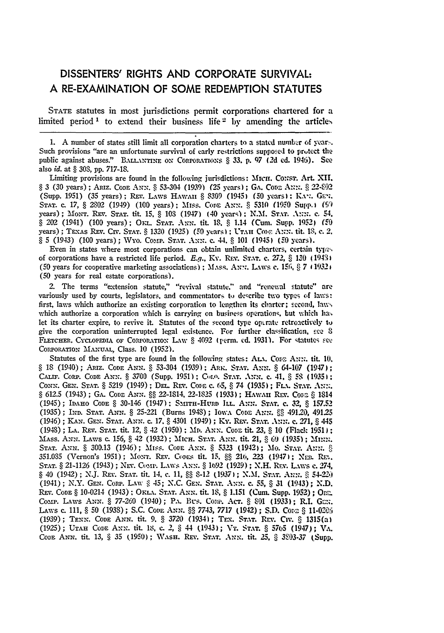## **DISSENTERS'** RIGHTS **AND** CORPORATE SURVIVAL: **A RE-EXAMINATION** OF **SOME** REDEMPTION **STATUTES**

**STATE** statutes in most jurisdictions permit corporations chartered for a limited period  $\frac{1}{2}$  to extend their business life  $\frac{1}{2}$  by amending the articles

**1. A** number of states still limit all corporation charters to a stated number of yar,. Such provisions "are an unfortunate survival of early restrictions supposed to protect the public against abuses." **BALLANTINE ON CORPORATIONS § 33. p. 97 (2d ed. 1946).** See also *id.* at § **303, pp. 717-18.**

Limiting provisions are found in the following jurisdictions: Micn. **Coms?.** Art. **XII.** § 3 (30 years) **;** Ariz. Code ANN. § 53-304 (1939) (25 years) **; GA. Code AMN. § 22-802** (Supp. 1951) (35 years); REv. L.ws **HAWAII** § **8309** (1945) **(50** years); KA-.. **GEN'. STAT.** C. **17,** § 2902 (1949) **(100** years): *Miss.* Coimn **A.-.** § 5310 **(1950** Supp. **(** years); fozr. REv. **STAT.** tit. **15,** § **103** (1947) (40 year-) N.M. **STAT. A-:.. c.** 54. § 202 (1941) (100 years); OKL. STAT. ANN. tit. 18, § 1.14 (Cum. Supp. 1952) (50 years); TEXAS REV. CIV. STAT. § 1320 (1925) (50 years); UTAH COIF AXN. tit. 18, c. 2, § 5 (1943) (100 years); Wyo. CoMP. STAT. ANN. c. 44. § 101 (1945) (50 years).

Even in states where most corporations can obtain unlimited charters, certain type4 of corporations have a restricted life period. *E.g.,* KY. REV. **STAT.** c. 272, *§* **130** (19431 (50 years for cooperative marketing associations) **:** MASS. ANN. LAWS **c. 156, § 7** (1932) (50 years for real estate corporations).

*2.* The terms "extension statute," "revival statute" and "renewal statute" are variously used by courts, legislators, and commentators to describe two types of laws: first, laws which authorize an existing corporation to lengthen its charter; second, laws which authorize a corporation which is carrying on business operations, but which has let its charter expire, to revive it. Statutes of the second type operate retroactively to give the corporation uninterrupted legal existence. For further cla:sification, see **,** FLETCHER, CYCLOPEDIA OF CORPORATION LAW § 4092 (perm. ed. 1931). For statutes see CORPORATION MANUAL, Class. 10 (1952).

Statutes of the first type are found in the following states: ALA. Corrz A:::.. **tit.** 10. § **18** (1940); ARIz. **CODE ANN.** § 53-304 **(1939) ;** AR . *STAT.* **ANN.** § 64-107 (1947); **CALIF.** CoRP. **CODE** ANx. § 3700 **(Supp.** 1951); Cx.o. **STAT.** ANx. c. 41, § **58 (1935 ;** CONN. GEN. STAT. § 5219 (1949) ; DEL. REV. COPE c. 65, § 74 (1935) ; FLA. STAT. AXE. § **612.5** (1943) **; GA.** CODE **ANx.** §§ 22-1814, 22-1825 **(1933)** ; HMwAu RDT. CozZ § 1814 (1945); IDAHO **CODE** § 30-146 (1947): **SMITH-HURb ILL. ANN. STAT. C.** 32, § **157.52** (1935); IND. STAT. ANN. § 25-221 (Burns 1948); IOWA CODE ANN. §§ 491.20, 491.25 (1946) **;** KAx. **GN. STAT. AxN. c. 17.** § 4301 (1949) ; Ky. REv. **SraTT. A.** . **c. 271,** § 445 (1948) ; **LA.** REv. **STAT.** tit. 12, § 42 (1950): **M,. ANN.** Corz tit. **23,** § 10 (Flack 1951); Mass. ANN. Laws c. 156, § 42 (1932); MICH. STAT. ANN. tit. 21, § 60 (1935); MIRR. STAT. ANN. § 300.13 (1946); Miss. CODE ANN. § 5323 (1942); Mo. STAT. ANN. § 351.035 (Vernon's 1951); MoNT. REV. Comes tit. 15, §§ 216, 223 (1947); NEB. REV. **STAT. § 21-1126 (1943); NEV. COMP. LAWS ANN. § 1692 (1929); N.H. REV. LAWS c. 274,** § 40 (1942); N.J. Rev. Stat. tit. 14, c. 11, §§ 8-12 (1937); N.M. Stat. Aux. § 54-220 (1941); N.Y. GEN. CORP. LAW § 45; N.C. GEN. STAT. ANN. c. 55, § 31 (1943); N.D. REv. CODE § 10-0214 (1943) **:** OKL. **STAT.** Axx. tit. **18,** § 1.151 (Cur. Supp. 1952); OnR\_ Comp. Laws Axx. § 77-260 (1940); PA. Bus. Corp. Act. § 801 (1933); R.I. Gm; Laws **c.** 111, § 50 (1938); S.C. Code Ann. §§ 7743, 7717 (1942); S.D. Code § 11-0206 (1939); TEx. CODE **ANN.** tit. 9. § 3720 (1934); TEx. **STAT.** REv. Civ. § 1315(a) (1925); **UTAH** CODE Axx. tit. **18, c.** *2,* § 44 (1943); VT. **SaTT.** § **5705** (1947); VA. CODE ANN. tit. 13, § 35 (1950); **WASH.** REv. **STAT.** Axx. tit. **25,** § 3303-37 (Supp.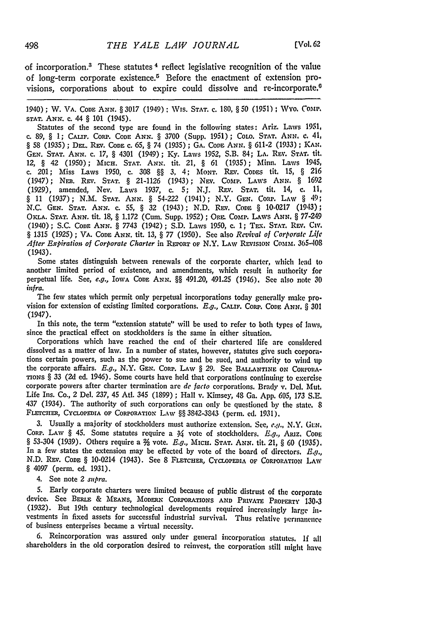of incorporation.3 These statutes 4 reflect legislative recognition of the value of long-term corporate existence.5 Before the enactment of extension provisions, corporations about to expire could dissolve and re-incorporate.<sup>0</sup>

1940) ; W. **VA. CODE ANN.** § 3017 (1949) **.** Wis. **STAT.** C. 180, § **50** (1951) ; WYO. Coup, STAT. **ANY. c.** 44 § **101** (1945).

Statutes of the second type are found in the following states: Ariz. Laws 1951, c. 89, § **1; CkLIF.** CoR. CODE **ANN.** § 3700 (Supp. 1951); COLO. **STAT. ANN.** *c.* 41, § 58 (1935) ; **DEL.. REV.** CODE c. 65, § 74 (1935) **; GA.** CODE **ANN.** § 611-2 (1933) **;** KAN. **GEN. STAT.** ANN. C. **17,** § 4301 (1949); **Ky.** Laws 1952, S.B. 84; LA. REV. STAT. **tit.** *12,* § 42 (1950); **MICH. STAT. ANN.** tit. 21, § 61 (1935); Minn. Laws 1945, c. 201; Miss Laws 1950, c. **308** *§§* 3, 4; **MONT. REV. CODES** tit. 15, § **216** (1947); **NEB.** REV. **STAT.** § 21-1126 (1943); NEV. CouP. LAWS ANN. § 1692 (1929), amended, Nev. Laws 1937, c. 5; N.J. REv. **STAT.** tit. 14, c. 11, § 11 (1937); N.M. **STAT. ANN.** § 54-222 (1941); N.Y. GEN. CORP. LAW § 49; N.C. GEN. STAT. ANN. c. 55, § 32 (1943); N.D. REV. CODE § 10-0217 (1943); **OKLA. STAT. ANN.** tit. 18, § 1.172 (Cum. Supp. 1952); ORE. Coup. **LAWS ANN.** § **77-249** (1940); S.C. **CODE ANN.** § 7743 (1942); S.D. Laws 1950, c. 1; Tx. **STAT.** REV. Civ. § 1315 (1925) ; VA. **CODE ANN.** tit. 13, § *77* (1950). See also *Revival of Corporate Life After Expiration of Corporate Charter* in **REPORT** OF N.Y. LAW REVISION Comm. 365-408 (1943).

Some states distinguish between renewals of the corporate charter, which lead to another limited period of existence, and amendments, which result in authority for perpetual life. See, *e.g.,* IOWA CODE **ANN.** §§ 49120, 491.25 (1946). See also note 30 *infra.*

The few states which permit only perpetual incorporations today generally make provision for extension of existing limited corporations. *E.g.,* **CALIF.** CoRP. CODE *ANN.* § 301 (1947).

In this note, the term "extension statute" will be used to refer to both types of laws, since the practical effect on stockholders is the same in either situation.

Corporations which have reached the end of their chartered life are considered dissolved as a matter of law. In a number of states, however, statutes give such corporations certain powers, such as the power to sue and be sued, and authority to wind up the corporate affairs. *E.g.*, N.Y. GEN. CORP. LAW § 29. See BALLANTINE ON CORPORA-*TIONS* § 33 **(2d** ed. 1946). Some courts have held that corporations continuing to exercise corporate powers after charter termination are *de facto* corporations. Brady v. **Del.** Mut. Life Ins. Co., 2 Del. 237, 45 Atl. 345 (1899) ; Hall v. Kimsey, 48 Ga. App. 605, 173 **S.E.** 437 (1934). The authority of such corporations can only be questioned by the state. 8 FLETCHER, **CYCLOPEDIA** OF CORPORATION LAW §§ 3842-3843. (perm. ed. 1931).

3. Usually a majority of stockholders must authorize extension. See, e.g., N.Y. GEN. CORP. LAW § 45. Some statutes require a 34 vote of stockholders. E.g., ARIZ. CODE § 53-304 (1939). Others require a **%** vote. *E.g.,* Micu. **STAT. ANN.** tit. 21, § 60 (1935). In a few states the extension may be effected **by** vote of the board of directors. E.g., N.D. REV. **CODE** § 10-0214 (1943). See 8 **FLETCHER, CYCLOPEDIA OF CORPORATION** LAW *§* 4097 (perm. ed. 1931).

4. See note 2 *supra.*

**5.** Early corporate charters were limited because of public distrust of the corporate device. See BERLE & MEANS, MODERN CORPORATIONS AND PRIVATE PROPERTY 130-3 (1932). But 19th century technological developments required increasingly large investments in fixed assets for successful industrial survival. Thus relative permanence of business enterprises became a virtual necessity.

6. Reincorporation was assured only under general incorporation statutes. if all shareholders in the old corporation desired to reinvest, the corporation still might have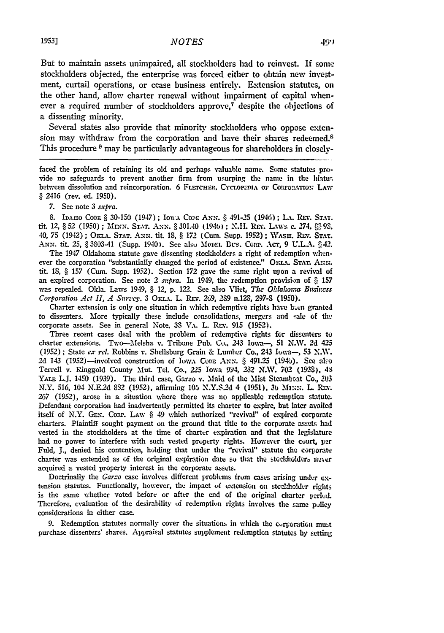But to maintain assets unimpaired, all stockholders had to reinvest. If some stockholders objected, the enterprise was forced either to obtain new investment, curtail operations, or cease business entirely. Extension statutes, on the other hand, allow charter renewal without impairment of capital whenever a required number of stockholders approve,<sup>7</sup> despite the objections of a dissenting minority.

Several states also provide that minority stockholders who oppose extension may withdraw from the corporation and have their shares **redeemed.8** This procedure **9** may be particularly advantageous **for** shareholders in closely-

faced the problem of retaining its old and perhaps valuable name. Some statutes provide no safeguards to prevent another firm from usurping the name in the hiatu; between dissolution and reincorporation. 6 FLETCHER, CYCLOPEDIA OF CORFORATION LAW § 2416 (rev. ed. 1950).

**7.** See note 3 *supra.*

8. IDAHO CODE § 30-150 (1947); IOWA CODE ANN. § 491-25 (1946); LA. REV. STAT. tit 12, §52 (1950); **MINN. STAT. Ax;.** § 301.40 (1946) **; X.H.** REv. Lxws c. 274, **§** *93,* 40, 75 (1942); Omt\_. **STAT. ANN.** tit 18, § 172 (Cum. Supp. 1952); WAsu. Rwv. **STrA.** ANN. tit. 25, §3803-41 (Supp. 1940). See also Mopel. Bcs. Corp. Acr, 9 U.L.A. §42.

The 1947 Oklahoma statute gave dissenting stockholders a right of redemption whenever the corporation "substantially changed the period of existence." OELA. STAT. AZNI. tit. **18,** § **157** (Cum. Supp. 1952). Section **172** gave the Fame right upon a revival of an expired corporation. See note 2 *sz.pra.* In 1949, the redemption provision of § **157** was repealed. Okla. Laws 1949, § 12, **p.** 122. See also Vliet, *The Ohlahowna Butsfness Corporation Act II, A Survey.* 3 *Ozy* **.** L. **REv.** 269, 2S9 TL123, **297-8** (1950).

Charter extension is only one situation in which redemptive rights have been granted to dissenters. More typically these include consolidations, mergers and sale of the corporate assets. See in general Note, **38 V..** L. REv. **915 (1952).**

Three recent cases deal with the problem of redemptive rights for dissenters to charter extensions. Two-Melsha v. Tribune Pub. Co., 243 Iowa-, 51 N.W. 2d 425 (1952) ; State *ex rel.* Robbins **v.** Shellsburg Grain & Lumher Co., 243 Iowa-, 53 N.W. 2d 143 (1952)-involved construction of IoWA CoDz **ANN.** § 491.25 (1946). See also Terrell v. Ringgold County Mut. Tel. Co., 225 Iowa 994, 282 N.W. 702 (1938), 48 YALE L.J. 1450 (1939). The third case, Garzo v. Maid of the Mist Steamboat Co., 303 N.Y. 516, 104 N.E.2d 882 (1952), affirming *10* N.Y.S2d 4 (1951), **3** Miri:;. L REv. 267 (1952), arose in a situation where there was no applicable redemption statute. Defendant corporation had inadvertently permitted its charter to expire, but later availed itself of N.Y. GEx. Cop. **LAW** § 49 which authorized "revival" of expired corporate charters. Plaintiff sought payment on the ground that title to the corporate assets had vested in the stockholders at the time of charter expiration and that the legislature had no power to interfere with such vested property rights. However the court, per Fuld, **J.,** denied his contention, holding that under the "revival" statute the corporate charter was extended as of the original expiration date so that the stockholders never acquired a vested property interest in the corporate assets.

Doctrinally the *Garzco* case involves different problems from cases arising under extension statutes. Functionally, however, the impact of extension on stockholder rights is the same whether voted before or after the end of the original charter period. Therefore, evaluation of the desirability of redemption rights involves the same policy considerations in either case.

9. Redemption statutes normally cover the situations in which the curporation must purchase dissenters' shares. Appraisal statutes supplement redemption statutes by setting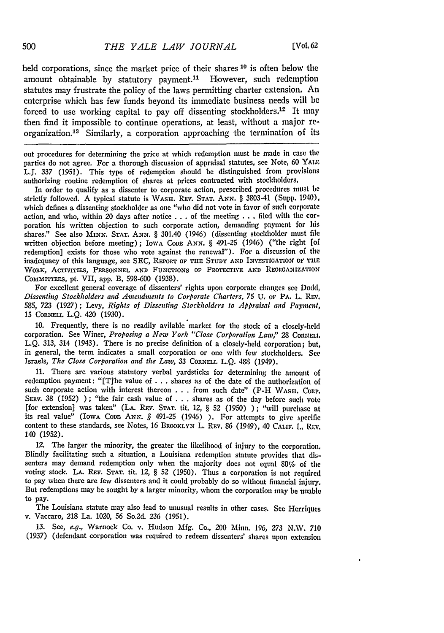held corporations, since the market price of their shares **10** is often below the amount obtainable by statutory payment.<sup>11</sup> However, such redemption statutes may frustrate the policy of the laws permitting charter extension, An enterprise which has few funds beyond its immediate business needs will be forced to use working capital to pay off dissenting stockholders.<sup>12</sup> It may then find it impossible to continue operations, at least, without a major reorganization.13 Similarly, a corporation approaching the termination of its

out procedures for determining the price at which redemption must be made in case the parties do not agree. For a thorough discussion of appraisal statutes, see Note, **60** YAmx L.J. 337 (1951). This type of redemption should be distinguished from provisions authorizing routine redemption of shares at prices contracted with stockholders.

In order to qualify as a dissenter to corporate action, prescribed procedures must be strictly followed. A typical statute is WASH. Ray. **STAT.** ANN. § 3803-41 (Supp. 1940), which defines a dissenting stockholder as one "who did not vote in favor of such corporate action, and who, within 20 days after notice **. . .** of the meeting **.** . **.** filed with the corporation his written objection to such corporate action, demanding payment for his shares." See also MINN. **STAT. ANN.** § 301.40 (1946) (dissenting stockholder must **file** written objection before meeting); IowA CoDE ANN. § 491-25 (1946) ("the right [of redemption] exists for those who vote against the renewal"). For a discussion of the inadequacy of this language, see SEC, REPORT OF THE **STUDY AND** INVESTIGATION **or THE** WORK, AcTivITIEs, **PERSONNEL AND** FUNCTIONS OF PROTECTIVE **AND** REORGANIZATION COMMITTEES, pt. VII, app. B, 598-600 (1938).

For excellent general coverage of dissenters' rights upon corporate changes see Dodd, *Dissenting Stockholders and Amendments to Corporate Charters,* 75 **U,** OF PA. L. Rv. 585, 723 (1927) ; Levy, *Rights of Dissenting* Stockholders *to Appraisal and Payment,* 15 **CORNELL** L.Q. 420 (1930).

**10.** Frequently, there is no readily avilable market for the stock of a closely-held corporation. See Winer, *Proposing a New York "Close Corporation Law," 28* **CORNIA,** L.Q. 313, 314 (1943). There is no precise definition of a closely-held corporation; but, in general, the term indicates a small corporation or one with few stockholders. See Israels, *The Close Corporation and the Law, 33* CORNELL L.Q. 488 (1949).

**11.** There are various statutory verbal yardsticks for determining the amount of redemption payment: "[Tihe value of **. . .** shares as of the date of the authorization of such corporate action with interest thereon  $\ldots$  from such date" (P-H WASH. CoRP. SERV. 38 (1952) **);** "the fair cash value of **. . .** shares as of the day before such vote [for extension] was taken" **(LA. REv. STAT.** tit. 12, § 52 (1950) **)** ; "will purchase at its real value" (IowA **CODE** AN,. *§* 491-25 (1946) ). For attempts to give specific content to these standards, see Notes, 16 BROOKLYN L. **REV.** 86 (1949), 40 **CALIF.** L. RI;,'. 140 (1952).

12. The larger the minority, the greater the likelihood of injury to the corporation, Blindly facilitating such a situation, a Louisiana redemption statute provides that dissenters may demand redemption only when the majority does not equal 80% of the voting stock. **LA.** REv. **STAT.** tit. 12, § 52 (1950). Thus a corporation is not required to pay when there are few dissenters and it could probably do so without financial injury. But redemptions may be sought by a larger minority, whom the corporation may be unable to pay.

The Louisiana statute may also lead to unusual results in other cases. See Herriques v. Vaccaro, **218** La. 1020, 56 So.2d. 236 **(1951).**

**13.** See, *e.g.,* Warnock Co. v. Hudson Mfg. Co., 200 Minn. **196,** *273* N.W. *710* **(1937)** (defendant corporation was required to redeem dissenters' shares upon extension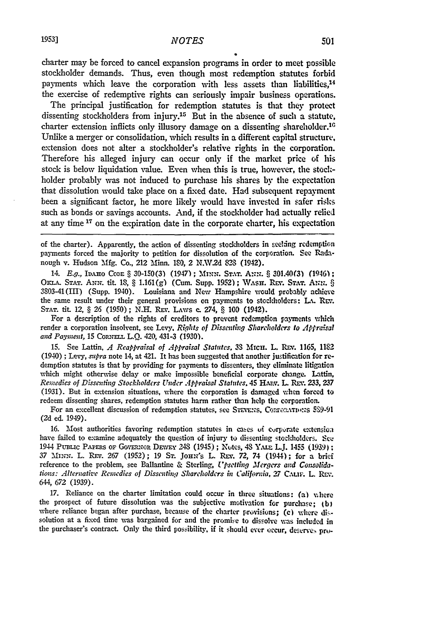charter may be forced to cancel expansion programs in order to meet possible stockholder demands. Thus, even though most redemption statutes forbid payments which leave the corporation with less assets than liabilities,<sup>14</sup> the exercise of redemptive rights can seriously impair business operations.

The principal justification for redemption statutes is that they protect dissenting stockholders from injury.15 But in the absence of such a statute, charter extension inflicts only illusory damage on a dissenting shareholder.<sup>16</sup> Unlike a merger or consolidation, which results in a different capital structure, extension does not alter a stockholder's relative rights in the corporation. Therefore his alleged injury can occur only if the market price of his stock is below liquidation value. Even when this is true, however, the stockholder probably was not induced to purchase his shares **by** the expectation that dissolution would take place on a fixed date. Had subsequent repayment been a significant factor, he more likely would have invested in safer risks such as bonds or savings accounts. And, if the stockholder had actually relied at any time 17 on the expiration date in the corporate charter, his expectation

of the charter). Apparently, the action of dissenting stockholders in seeling redemption payments forced the majority to petition for dissolution **of** the corporation. See Radanough v. Hudson **'Mfg.** Co., 212 **Minn. 1SO,** 2 **N. 2d** 82S (1942).

14. *E.g.*, **IDAHO CODE** § 30-150(3) (1947); MINN. STAT. ANN. § 301.40(3) (1946); OKLA. STAT. ANN. tit. 18, § 1.161(g) (Cum. Supp. 1952); WASH. REV. STAT. AMN. § 3803-41(III) (Supp. 1940). Louisiana and **New** Hampshire would probably achieve the same result under their general provisions on payments to stockholders: LA. REV. **STAT.** tit. 12, § **26** (1950); N.H. REv. LAws c. 274, § 100 (1942).

For a description of the rights of creditors to prevent redemption payments which render a corporation insolvent, see Levy, Rights of Dissenting Shareholders to Appraisal and Payment, 15 CORNELL L.Q. 420, 431-3 (1930).

15. See Lattin, *A Reappraisal of Appraisal Statutes, 38 Mtcn. L. REv. 1165, 1182* (1940) ; *Levy, supra* note 14, at 421. It has been suggested that another justification for redemption statutes is that by providing for payments to dissenters, they eliminate litigation which might otherwise delay or make impossible beneficial corporate change. Lattin, *Rewzedies of Dssenting Stockholders Under Appraisal Statutes,* 45 HAMv. L R-. **233,** <sup>237</sup> (1931). But in extension situations, where the corporation is damaged when forced to redeem dissenting shares, redemption statutes harm rather than **help** the corporation.

For an excellent discussion of redemption statutes, see STEVENS, CORFORATIONS 589-91 *(2d* ed. 1949).

16. Most authorities favoring redemption statutes in cases of corporate extension have failed to examine adequately the question of injury **to** dissenting stockholders. **See** 1944 PUBLIC PAPERS OF GOVERNOR DEWEY 248 (1945); Nutes, 48 YALE *L.J.* 1455 (1939); <sup>37</sup>*Mxnx.* L. *Rv.* 267 (1952); 19 ST. JoHie's L. **RV.** *72,* 74 (1944); for a brief reference to the problem, see Ballantine **&** Sterling, *Upsetting Mergers and Consolidations: Alternative Remedies of Dissenting Shareholders in California, 27* **CALIF.** L. Ruv. 644, *672* (1939).

17. Reliance on the charter limitation could occur in three situations: (a) where the prospect of future dissolution was the subjective motivation for purchase; **(b)** where reliance began after purchase, because of the charter provisions; (c) where dissolution at a fixed time was bargained for and the promise to dissolve was included in the purchaser's contract. Only the third possibility, if it should ever occur, deserves pro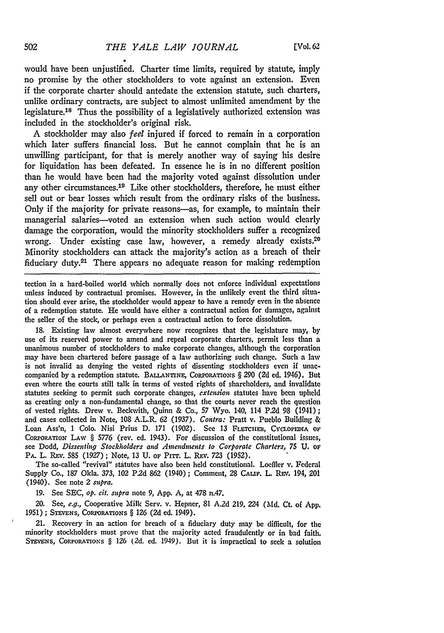would have been unjustified. Charter time limits, required by statute, imply no promise by the other stockholders to vote against an extension. Even if the corporate charter should antedate the extension statute, such charters, unlike ordinary contracts, are subject to almost unlimited amendment by the legislature.18 Thus the possibility of a legislatively authorized extension was included in the stockholder's original risk.

A stockholder may also *feel* injured if forced to remain in a corporation which later suffers financial loss. But he cannot complain that he is an unwilling participant, for that is merely another way of saying his desire for liquidation has been defeated. In essence he is in no different position than he would have been had the majority voted against dissolution under any other circumstances.19 Like other stockholders, therefore, he must either sell out or bear losses which result from the ordinary risks of the business. Only if the majority for private reasons-as, for example, to maintain their managerial salaries-voted an extension when such action would clearly damage the corporation, would the minority stockholders suffer a recognized wrong. Under existing case law, however, a remedy already exists.<sup>20</sup> Minority stockholders can attack the majority's action as a breach of their fiduciary duty.2' There appears no adequate reason for making redemption

tection in a hard-boiled world which normally does not enforce individual expectations unless induced **by** contractual promises. However, in the unlikely event the third situation should ever arise, the stockholder would appear to have a remedy even in the absence of a redemption statute. He would have either a contractual action for damages, against the seller of the stock, or perhaps even a contractual action to force dissolution.

18. Existing law almost everywhere now recognizes that the legislature may, by use of its reserved power to amend and repeal corporate charters, permit less than a unanimous number of stockholders to make corporate changes, although the corporation may have been chartered before passage of a law authorizing such change. Such a law is not invalid as denying the vested rights of dissenting stockholders even if unaccompanied by a redemption statute. BALLANTINE, CORPORATIONS § 290 (2d ed. 1946). But even where the courts still talk in terms of vested rights of shareholders, and invalidate statutes seeking to permit such corporate changes, *extension* statutes have been upheld as creating only a non-fundamental change, so that the courts never reach the question of vested rights. Drew v. Beckvjith, Quinn & Co., 57 Wyo. 140, 114 P.2d 98 (1941) **;** and cases collected in Note, 108 A.L.R. *62 (1937). Contra:* Pratt v. Pueblo Building & Loan Ass'n, 1 Colo. Nisi Prius D. 171 (1902). See 13 FLETCHER, CYCLOPEDIA OF CoRpoRATIoN LAW § **5776** (rev. **ed.** 1943). For discussion of the constitutional issues, see Dodd, *Dissenting Stockholders and Amendments to Corporate Charters,* 75 **U. or PA.** L. REv. 585 (1927); Note, 13 **U. OF** Pirr. L. REv. 723 (1952).

The so-called "revival" statutes have also been held constitutional. Loeffler v. Federal Supply Co., 187 Okla. 373, 102 **P2d** 862 (1940) ; Comment, 28 CALIF. L. REV. 194, 201 (1940). See note 2 *mipra.*

19. See SEC, *op. cit. supra* note 9, App. A, at 478 n.47.

20. See, *e.g.,* Cooperative Milk Serv. v. Hepner, 81 A.2d 219, 224 (Md, Ct. of App. 1951); STEVENS, CORPORATIONS § 126 (2d ed. 1949).

21. Recovery in an action for breach of a fiduciary duty may be difficult, for the minority stockholders must prove that the majority acted fraudulently or in bad faith, STEVENS, CORPORATIONS  $\S$  126 (2d. ed. 1949). But it is impractical to seek a solution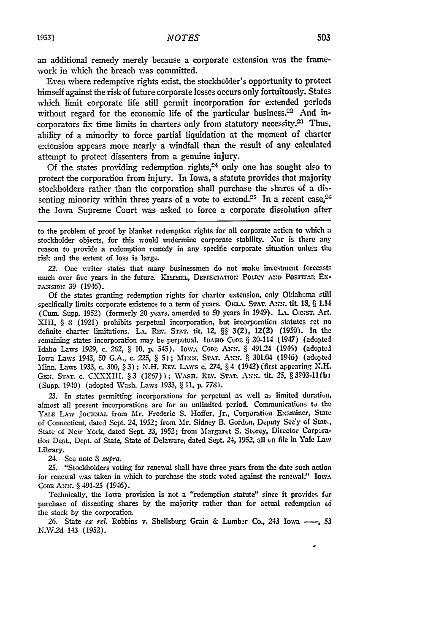an additional remedy merely because a corporate extension was the framework in which the breach was committed.

Even where redemptive rights exist, the stockholder's opportunity to protect himself against the risk of future corporate losses occurs only fortuitously. States which limit corporate life still permit incorporation for extended periods without regard for the economic life of the particular business.<sup>22</sup> And incorporators fix time limits in charters only from statutory necessity.<sup>23</sup> Thus, ability of a minority to force partial liquidation at the moment of charter extension appears more nearly a windfall than the result of any calculated attempt to protect dissenters from a genuine injury.

Of the states providing redemption rights, $24$  only one has sought also to protect the corporation from injury. In Iowa, a statute provides that majority stockholders rather than the corporation shall purchase the .hares of a dissenting minority within three years of a vote to extend.<sup>25</sup> In a recent case,<sup>26</sup> the Iowa Supreme Court was asked to force a corporate dissolution after

22. One writer states that many businessmen do not make investment forecasts much over five years in the future. KRIMEL, DEPRECIATION POLICY AND POSTWAR EX-**PANSioN** 39 (1946).

Of the states granting redemption rights for charter extension, only Oldahoma still specifically limits corporate existence to a term of years. OKLA, STAT, A::::, tit. 18, § 1.14 (Cum. Supp. 1952) (formerly 20 years, amended to **50** years in 1949). **L%.** Co:zsi. Art. XIII, **§ 8** (1921) prohibits perpetual incorporation, but incorporation statutes fet no definite charter limitations. La. REV. STAT. tit. 12, §§ 3(2), 12(2) (1950). In the remaining states incorporation may be perpetual. **IDAno** Cupz 8 30-114 (1947) (adopted Idaho Laws 1929, c. 262, § **10,** p. 545). IOWA Cooa **AN.:** § 491.24 (1946) (adopted Iowa Laws 1943, 50 G.A., c. 225, § 5); MINN. STAT. ANN. § 301.04 (1946) (adopted Mfinn. Laws 1933, *c.* 300, **§** 3) ; N.H. RE%. LAws c. 274, **§** 4 (1942) (first appearing X.H. **G:- . STAT.** c. C.XXXIII. §3 (1867)): **WASH.** REv. STxr. **A-.x.** tit. 25, **§3503-11b)** (Supp. 1940) (adopted Wash. Laws 1933, **§ 11, p.** 778).

23. In states permitting incorporations for perpetual as well as limited duration, almost all present incorporations are for an unlimited period. Communications to the YALE LAW JOURNAL from Mr. Frederic S. Hoffer, Jr., Corporation Examiner, State of Connecticut, dated Sept. 24, 1952; from Mr. Sidney B. Gordon, Deputy See'y of Statv, State of New York, dated Sept. 23, 1952; from Margaret S. Storey, Director Corporation Dept., Dept. of State, State of Delaware, dated Sept. 24, 1952, all on file in Yale Law Library.

24. See note 8 *supra.*

**25.** "Stockholders voting for renewal shall have three years from the date such action for renewal was taken in which to purchase the stock voted against the renewal:' **IOWA** CODE ANN. § 491-25 (1946).

Technically, the Iowa provision is not a "redemption statute" since it provides fur purchase of dissenting shares by the majority rather than for actual redemption **of** the stock by the corporation.

26. State *ex rel.* Robbins v. Shellsburg Grain & Lumber Co., 243 Iowa - 53 N.W.2d 143 (1952).

ہ

to the problem of proof by blanket redemption rights for all corporate action to which a stockholder objects, for this would undermine corporate stability. Nor is there any reason to provide a redemption remedy in any specific corporate situation unless the risk and the extent of loss is large.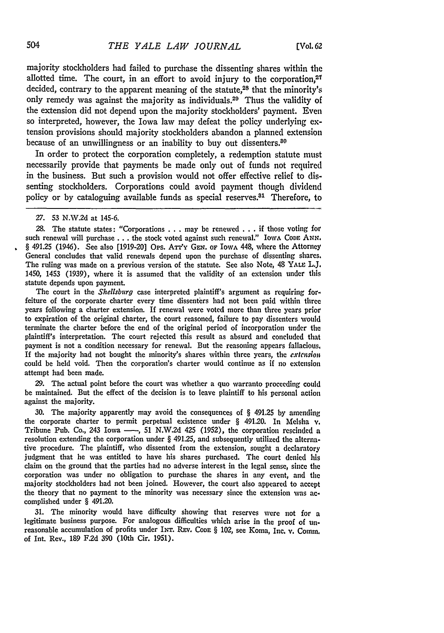majority stockholders had failed to purchase the dissenting shares within the allotted time. The court, in an effort to avoid injury to the corporation.<sup>27</sup> decided, contrary to the apparent meaning of the statute,<sup>28</sup> that the minority's only remedy was against the majority as individuals.<sup>29</sup> Thus the validity of the extension did not depend upon the majority stockholders' payment. Even so interpreted, however, the Iowa law may defeat the policy underlying extension provisions should majority stockholders abandon a planned extension because of an unwillingness or an inability to buy out dissenters.<sup>80</sup>

In order to protect the corporation completely, a redemption statute must necessarily provide that payments be made only out of funds not required in the business. But such a provision would not offer effective relief to dissenting stockholders. Corporations could avoid payment though dividend policy or by cataloguing available funds as special reserves.<sup>81</sup> Therefore, to

28. The statute states: "Corporations **. . .** may be renewed **. . .** if those voting for such renewal **will purchase...** the stock voted against such renewal." IOWA *CoDe* **ANN.** § 491.25 (1946). See also **(1919-20]** OPs. **ATr'Y GEN.** OF IOWA 448, where the Attorney General concludes that valid renewals depend upon the purchase of dissenting shares. The ruling was made on a previous version of the statute. See also Note, 48 **YALt** L.J. 1450, 1453 (1939), Where it is assumed that the validity of an extension under this statute depends upon payment.

The court in the *Shellsburg* case interpreted plaintiff's argument as requiring forfeiture of the corporate charter every time dissenters had not been paid within three years following a charter extension. If renewal were voted more than three years prior to expiration of the original charter, the court reasoned, failure to pay dissenters would terminate the charter before the end of the original period of incorporation under the plaintiff's interpretation. The court rejected this result as absurd and concluded that payment is not a condition necessary for renewal. But the reasoning appears fallacious. If the majority had not bought the minority's shares within three years, the *e.tension* could be held void. Then the corporation's charter would continue as if no extension attempt had been made.

29. The actual point before the court was whether a quo warranto proceeding could be maintained. But the effect of the decision is to leave plaintiff to his personal action against the majority.

30. The majority apparently may avoid the consequences of § 491.25 by amending the corporate charter to permit perpetual existence under § 491.20. In Melsha  $\bar{v}$ . Tribune Pub. Co., 243 Iowa —, 51 N.W.2d 425 (1952), the corporation rescinded a resolution extending the corporation under § 491.25, and subsequently utilized the alternative procedure. The plaintiff, who dissented from the extension, sought a declaratory judgment that he was entitled to have his shares purchased. The court denied his claim on the ground that the parties had no adverse interest in the legal sense, since the corporation was under no obligation to purchase the shares in any event, and the majority stockholders had not been joined. However, the court also appeared to accept the theory that no payment to the minority was necessary since the extension was **ac.** complished under § 491.20.

31. The minority would have difficulty showing that reserves were not for a legitimate business purpose. For analogous difficulties which arise in the proof of unreasonable accumulation of profits under INT. REv, **CODE** § 102, see Koma, Inc, **v.** Comm, of Int. Rev., 189 **F.2d** 390 (10th Cir. 1951).

**<sup>27. 53</sup> N.W.2d** at 145-6.